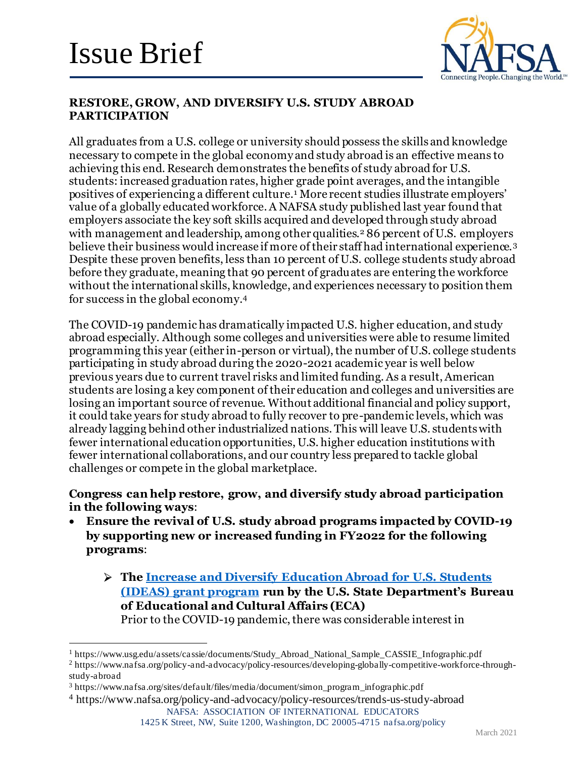

### **RESTORE, GROW, AND DIVERSIFY U.S. STUDY ABROAD PARTICIPATION**

All graduates from a U.S. college or university should possess the skills and knowledge necessary to compete in the global economy and study abroad is an effective means to achieving this end. Research demonstrates the benefits of study abroad for U.S. students: increased graduation rates, higher grade point averages, and the intangible positives of experiencing a different culture.<sup>1</sup> More recent studies illustrate employers' value of a globally educated workforce. A NAFSA study published last year found that employers associate the key soft skills acquired and developed through study abroad with management and leadership, among other qualities.<sup>2</sup> 86 percent of U.S. employers believe their business would increase if more of their staff had international experience.<sup>3</sup> Despite these proven benefits, less than 10 percent of U.S. college students study abroad before they graduate, meaning that 90 percent of graduates are entering the workforce without the international skills, knowledge, and experiences necessary to position them for success in the global economy.<sup>4</sup>

The COVID-19 pandemic has dramatically impacted U.S. higher education, and study abroad especially. Although some colleges and universities were able to resume limited programming this year (either in-person or virtual), the number of U.S. college students participating in study abroad during the 2020-2021 academic year is well below previous years due to current travel risks and limited funding. As a result, American students are losing a key component of their education and colleges and universities are losing an important source of revenue. Without additional financial and policy support, it could take years for study abroad to fully recover to pre-pandemic levels, which was already lagging behind other industrialized nations. This will leave U.S. students with fewer international education opportunities, U.S. higher education institutions with fewer international collaborations, and our country less prepared to tackle global challenges or compete in the global marketplace.

#### **Congress can help restore, grow, and diversify study abroad participation in the following ways**:

- **Ensure the revival of U.S. study abroad programs impacted by COVID-19 by supporting new or increased funding in FY2022 for the following programs**:
	- **The Increase and Diversify Education Abroad for U.S. Students (IDEAS) grant program run by the U.S. State Department's Bureau of Educational and Cultural Affairs (ECA)** Prior to the COVID-19 pandemic, there was considerable interest in

<sup>1</sup> https://www.usg.edu/assets/cassie/documents/Study\_Abroad\_National\_Sample\_CASSIE\_Infographic.pdf

<sup>2</sup> https://www.nafsa.org/policy-and-advocacy/policy-resources/developing-globally-competitive-workforce-throughstudy-abroad

1425 K Street, NW, Suite 1200, Washington, DC 20005-4715 nafsa.org/policy

<sup>3</sup> https://www.nafsa.org/sites/default/files/media/document/simon\_program\_infographic.pdf

NAFSA: ASSOCIATION OF INTERNATIONAL EDUCATORS <sup>4</sup> https://www.nafsa.org/policy-and-advocacy/policy-resources/trends-us-study-abroad